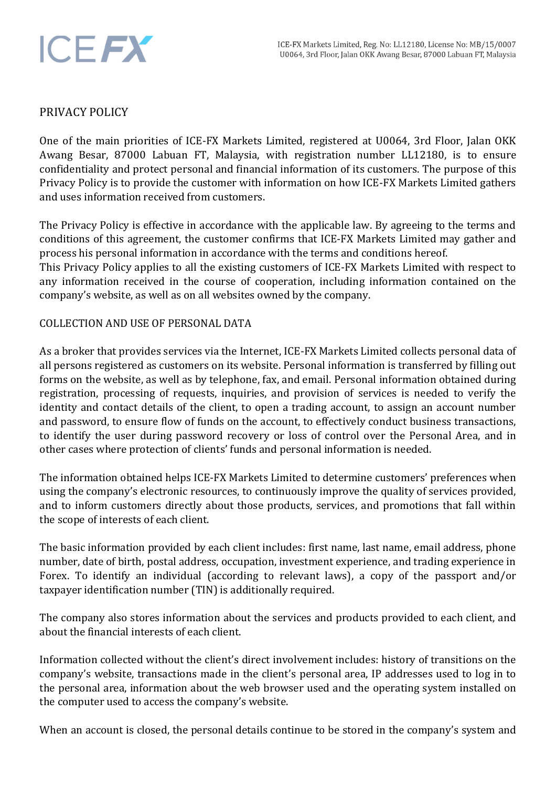

## PRIVACY POLICY

One of the main priorities of ICE-FX Markets Limited, registered at U0064, 3rd Floor, Jalan OKK Awang Besar, 87000 Labuan FT, Malaysia, with registration number LL12180, is to ensure confidentiality and protect personal and financial information of its customers. The purpose of this Privacy Policy is to provide the customer with information on how ICE-FX Markets Limited gathers and uses information received from customers.

The Privacy Policy is effective in accordance with the applicable law. By agreeing to the terms and conditions of this agreement, the customer confirms that ICE-FX Markets Limited may gather and process his personal information in accordance with the terms and conditions hereof.

This Privacy Policy applies to all the existing customers of ICE-FX Markets Limited with respect to any information received in the course of cooperation, including information contained on the company's website, as well as on all websites owned by the company.

### COLLECTION AND USE OF PERSONAL DATA

As a broker that provides services via the Internet, ICE-FX Markets Limited collects personal data of all persons registered as customers on its website. Personal information is transferred by filling out forms on the website, as well as by telephone, fax, and email. Personal information obtained during registration, processing of requests, inquiries, and provision of services is needed to verify the identity and contact details of the client, to open a trading account, to assign an account number and password, to ensure flow of funds on the account, to effectively conduct business transactions, to identify the user during password recovery or loss of control over the Personal Area, and in other cases where protection of clients' funds and personal information is needed.

The information obtained helps ICE-FX Markets Limited to determine customers' preferences when using the company's electronic resources, to continuously improve the quality of services provided, and to inform customers directly about those products, services, and promotions that fall within the scope of interests of each client.

The basic information provided by each client includes: first name, last name, email address, phone number, date of birth, postal address, occupation, investment experience, and trading experience in Forex. To identify an individual (according to relevant laws), a copy of the passport and/or taxpayer identification number (TIN) is additionally required.

The company also stores information about the services and products provided to each client, and about the financial interests of each client.

Information collected without the client's direct involvement includes: history of transitions on the company's website, transactions made in the client's personal area, IP addresses used to log in to the personal area, information about the web browser used and the operating system installed on the computer used to access the company's website.

When an account is closed, the personal details continue to be stored in the company's system and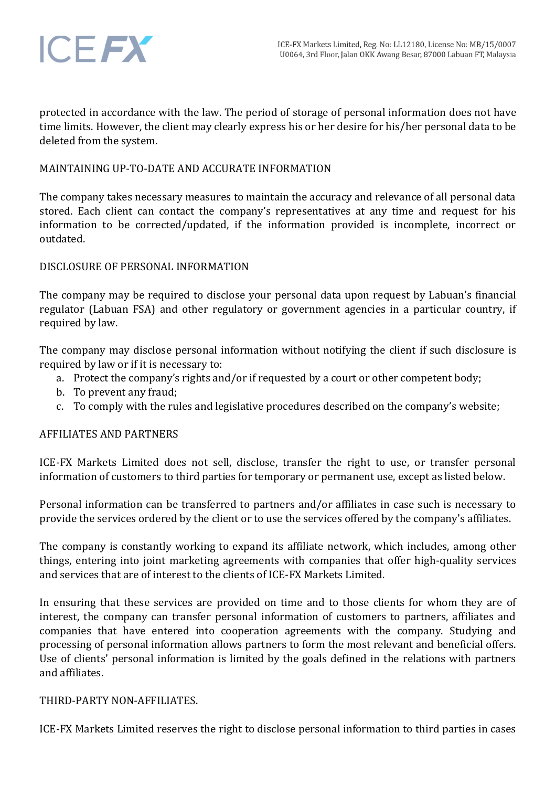

protected in accordance with the law. The period of storage of personal information does not have time limits. However, the client may clearly express his or her desire for his/her personal data to be deleted from the system.

## MAINTAINING UP-TO-DATE AND ACCURATE INFORMATION

The company takes necessary measures to maintain the accuracy and relevance of all personal data stored. Each client can contact the company's representatives at any time and request for his information to be corrected/updated, if the information provided is incomplete, incorrect or outdated.

## DISCLOSURE OF PERSONAL INFORMATION

The company may be required to disclose your personal data upon request by Labuan's financial regulator (Labuan FSA) and other regulatory or government agencies in a particular country, if required by law.

The company may disclose personal information without notifying the client if such disclosure is required by law or if it is necessary to:

- a. Protect the company's rights and/or if requested by a court or other competent body;
- b. To prevent any fraud;
- c. To comply with the rules and legislative procedures described on the company's website;

# AFFILIATES AND PARTNERS

ICE-FX Markets Limited does not sell, disclose, transfer the right to use, or transfer personal information of customers to third parties for temporary or permanent use, except as listed below.

Personal information can be transferred to partners and/or affiliates in case such is necessary to provide the services ordered by the client or to use the services offered by the company's affiliates.

The company is constantly working to expand its affiliate network, which includes, among other things, entering into joint marketing agreements with companies that offer high-quality services and services that are of interest to the clients of ICE-FX Markets Limited.

In ensuring that these services are provided on time and to those clients for whom they are of interest, the company can transfer personal information of customers to partners, affiliates and companies that have entered into cooperation agreements with the company. Studying and processing of personal information allows partners to form the most relevant and beneficial offers. Use of clients' personal information is limited by the goals defined in the relations with partners and affiliates.

### THIRD-PARTY NON-AFFILIATES.

ICE-FX Markets Limited reserves the right to disclose personal information to third parties in cases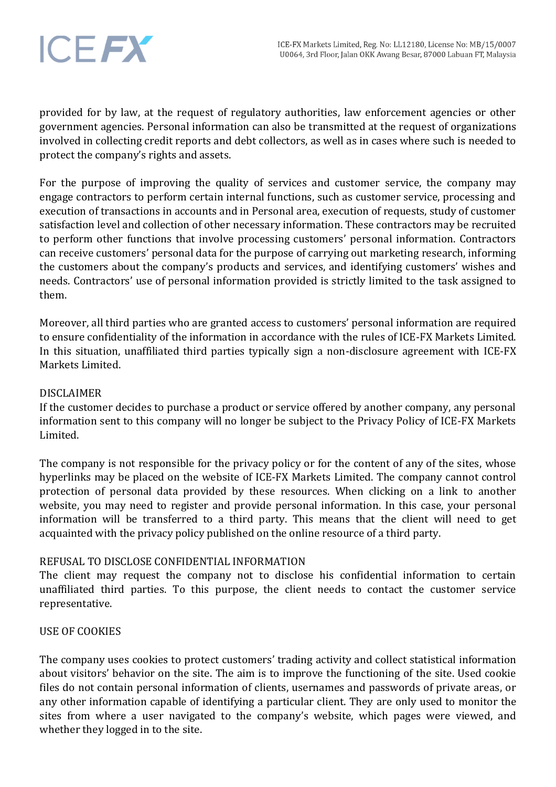

provided for by law, at the request of regulatory authorities, law enforcement agencies or other government agencies. Personal information can also be transmitted at the request of organizations involved in collecting credit reports and debt collectors, as well as in cases where such is needed to protect the company's rights and assets.

For the purpose of improving the quality of services and customer service, the company may engage contractors to perform certain internal functions, such as customer service, processing and execution of transactions in accounts and in Personal area, execution of requests, study of customer satisfaction level and collection of other necessary information. These contractors may be recruited to perform other functions that involve processing customers' personal information. Contractors can receive customers' personal data for the purpose of carrying out marketing research, informing the customers about the company's products and services, and identifying customers' wishes and needs. Contractors' use of personal information provided is strictly limited to the task assigned to them.

Moreover, all third parties who are granted access to customers' personal information are required to ensure confidentiality of the information in accordance with the rules of ICE-FX Markets Limited. In this situation, unaffiliated third parties typically sign a non-disclosure agreement with ICE-FX Markets Limited.

## DISCLAIMER

If the customer decides to purchase a product or service offered by another company, any personal information sent to this company will no longer be subject to the Privacy Policy of ICE-FX Markets Limited.

The company is not responsible for the privacy policy or for the content of any of the sites, whose hyperlinks may be placed on the website of ICE-FX Markets Limited. The company cannot control protection of personal data provided by these resources. When clicking on a link to another website, you may need to register and provide personal information. In this case, your personal information will be transferred to a third party. This means that the client will need to get acquainted with the privacy policy published on the online resource of a third party.

### REFUSAL TO DISCLOSE CONFIDENTIAL INFORMATION

The client may request the company not to disclose his confidential information to certain unaffiliated third parties. To this purpose, the client needs to contact the customer service representative.

### USE OF COOKIES

The company uses cookies to protect customers' trading activity and collect statistical information about visitors' behavior on the site. The aim is to improve the functioning of the site. Used cookie files do not contain personal information of clients, usernames and passwords of private areas, or any other information capable of identifying a particular client. They are only used to monitor the sites from where a user navigated to the company's website, which pages were viewed, and whether they logged in to the site.